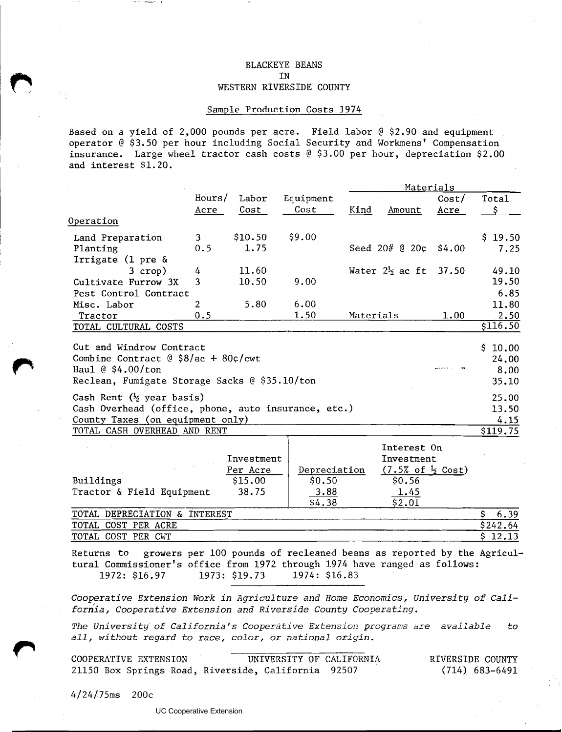## BLACKEYE BEANS IN WESTERN RIVERSIDE COUNTY

## Sample Production Costs 1974

Based on a yield of 2,000 pounds per acre. Field labor  $@ 2.90$  and equipment operator @ \$3.50 per hour including Social Security and Workmens' Compensation insurance. Large wheel tractor cash costs @ \$3.00 per hour, depreciation \$2.00 and interest \$1.20.

|                                                     | Materials |            |              |            |                                |        |                  |
|-----------------------------------------------------|-----------|------------|--------------|------------|--------------------------------|--------|------------------|
|                                                     | Hours/    | Labor      | Equipment    |            |                                | Cost/  | Total            |
|                                                     | Acre      | Cost       | Cost         | Kind       | Amount                         | Acre   | \$               |
| Operation                                           |           |            |              |            |                                |        |                  |
| Land Preparation                                    | 3         | \$10.50    | \$9.00       |            |                                |        | \$19.50          |
| Planting                                            | 0.5       | 1.75       |              |            | Seed $20# @ 20¢$               | \$4.00 | 7.25             |
| Irrigate (1 pre $\&$                                |           |            |              |            |                                |        |                  |
| $3$ crop)                                           | 4         | 11.60      |              |            | Water $2\frac{1}{2}$ ac ft     | 37.50  | 49.10            |
| Cultivate Furrow 3X                                 | 3         | 10.50      | 9.00         |            |                                |        | 19.50            |
| Pest Control Contract                               |           |            |              |            |                                |        | 6.85             |
| Misc. Labor                                         | 2         | 5.80       | 6.00         |            |                                |        | 11.80            |
| Tractor                                             | 0.5       |            | 1.50         | Materials  |                                | 1.00   | 2.50<br>\$116.50 |
| TOTAL CULTURAL COSTS                                |           |            |              |            |                                |        |                  |
| Cut and Windrow Contract                            |           |            |              |            |                                |        | \$10.00          |
| Combine Contract @ $$8/ac + 80¢/cwt$                |           |            |              |            |                                |        | 24.00            |
| Haul $@$ \$4.00/ton                                 |           |            |              |            |                                |        | 8.00             |
| Reclean, Fumigate Storage Sacks @ \$35.10/ton       |           |            |              |            |                                |        | 35.10            |
| Cash Rent $(\frac{1}{2}$ year basis)                |           |            |              |            |                                |        | 25.00            |
| Cash Overhead (office, phone, auto insurance, etc.) |           |            |              |            |                                |        |                  |
| County Taxes (on equipment only)                    |           |            |              |            |                                |        |                  |
| TOTAL CASH OVERHEAD AND RENT                        |           |            |              |            |                                |        | \$119.75         |
|                                                     |           |            |              |            | Interest On                    |        |                  |
|                                                     |           | Investment |              | Investment |                                |        |                  |
|                                                     |           | Per Acre   | Depreciation |            | $(7.5%$ of $\frac{1}{2}$ Cost) |        |                  |
| Buildings                                           |           | \$15.00    | \$0.50       |            | \$0.56                         |        |                  |
| Tractor & Field Equipment                           |           | 38.75      | 3.88         |            | 1.45                           |        |                  |
|                                                     |           |            | \$4.38       |            | \$2.01                         |        |                  |
| TOTAL DEPRECIATION & INTEREST                       |           |            |              |            |                                |        |                  |
| TOTAL COST PER ACRE                                 |           |            |              |            |                                |        |                  |
| TOTAL COST PER CWT                                  |           |            |              |            |                                |        | \$12.13          |

Returns to growers per 100 pounds of recleaned beans as reported by the Agricultural Commissioner's office from 1972 through 1.974 have ranged as follows: 1973: \$19.73

*Cooperative Extension Work in Agriculture and Home Economics, University of Califorha, Cooperative Extension and Riverside County Cooperating.* 

*The University of California* **'s** *Cooper;itive Extension programs* **are** *available* **to**  all, without regard to race, color, or national origin.

| COOPERATIVE EXTENSION                               | UNIVERSITY OF CALIFORNIA | RIVERSIDE COUNTY |
|-----------------------------------------------------|--------------------------|------------------|
| 21150 Box Springs Road, Riverside, California 92507 |                          | (714) 683–6491   |

 $4/24/75$ ms 200c